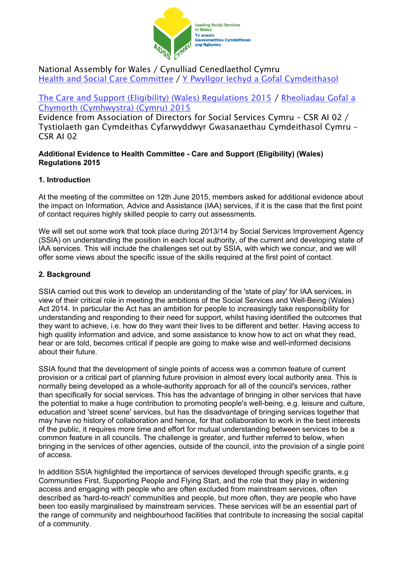

## National Assembly for Wales / Cynulliad Cenedlaethol Cymru Health and Social Care [Committee](http://www.senedd.assembly.wales/mgCommitteeDetails.aspx?ID=227) / Y Pwyllgor Iechyd a Gofal [Cymdeithasol](http://www.senedd.cynulliad.cymru/mgCommitteeDetails.aspx?ID=227)

# The Care and Support (Eligibility) (Wales) [Regulations](http://www.senedd.assembly.wales/mgConsultationDisplay.aspx?ID=177) 2015 / [Rheoliadau](http://www.senedd.cynulliad.cymru/mgConsultationDisplay.aspx?ID=177) Gofal a Chymorth [\(Cymhwystra\)](http://www.senedd.cynulliad.cymru/mgConsultationDisplay.aspx?ID=177) (Cymru) 2015

Evidence from Association of Directors for Social Services Cymru – CSR AI 02 / Tystiolaeth gan Cymdeithas Cyfarwyddwyr Gwasanaethau Cymdeithasol Cymru – CSR AI 02

### **Additional Evidence to Health Committee - Care and Support (Eligibility) (Wales) Regulations 2015**

## **1. Introduction**

At the meeting of the committee on 12th June 2015, members asked for additional evidence about the impact on Information, Advice and Assistance (IAA) services, if it is the case that the first point of contact requires highly skilled people to carry out assessments.

We will set out some work that took place during 2013/14 by Social Services Improvement Agency (SSIA) on understanding the position in each local authority, of the current and developing state of IAA services. This will include the challenges set out by SSIA, with which we concur, and we will offer some views about the specific issue of the skills required at the first point of contact.

## **2. Background**

SSIA carried out this work to develop an understanding of the 'state of play' for IAA services, in view of their critical role in meeting the ambitions of the Social Services and Well-Being (Wales) Act 2014. In particular the Act has an ambition for people to increasingly take responsibility for understanding and responding to their need for support, whilst having identified the outcomes that they want to achieve, i.e. how do they want their lives to be different and better. Having access to high quality information and advice, and some assistance to know how to act on what they read, hear or are told, becomes critical if people are going to make wise and well-informed decisions about their future.

SSIA found that the development of single points of access was a common feature of current provision or a critical part of planning future provision in almost every local authority area. This is normally being developed as a whole-authority approach for all of the council's services, rather than specifically for social services. This has the advantage of bringing in other services that have the potential to make a huge contribution to promoting people's well-being, e.g. leisure and culture, education and 'street scene' services, but has the disadvantage of bringing services together that may have no history of collaboration and hence, for that collaboration to work in the best interests of the public, it requires more time and effort for mutual understanding between services to be a common feature in all councils. The challenge is greater, and further referred to below, when bringing in the services of other agencies, outside of the council, into the provision of a single point of access.

In addition SSIA highlighted the importance of services developed through specific grants, e.g Communities First, Supporting People and Flying Start, and the role that they play in widening access and engaging with people who are often excluded from mainstream services, often described as 'hard-to-reach' communities and people, but more often, they are people who have been too easily marginalised by mainstream services. These services will be an essential part of the range of community and neighbourhood facilities that contribute to increasing the social capital of a community.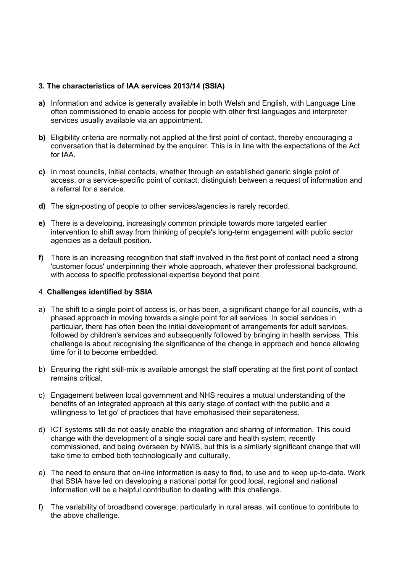### **3. The characteristics of IAA services 2013/14 (SSIA)**

- **a)** Information and advice is generally available in both Welsh and English, with Language Line often commissioned to enable access for people with other first languages and interpreter services usually available via an appointment.
- **b)** Eligibility criteria are normally not applied at the first point of contact, thereby encouraging a conversation that is determined by the enquirer. This is in line with the expectations of the Act for IAA.
- **c)** In most councils, initial contacts, whether through an established generic single point of access, or a service-specific point of contact, distinguish between a request of information and a referral for a service.
- **d)** The sign-posting of people to other services/agencies is rarely recorded.
- **e)** There is a developing, increasingly common principle towards more targeted earlier intervention to shift away from thinking of people's long-term engagement with public sector agencies as a default position.
- **f)** There is an increasing recognition that staff involved in the first point of contact need a strong 'customer focus' underpinning their whole approach, whatever their professional background, with access to specific professional expertise beyond that point.

### 4. **Challenges identified by SSIA**

- a) The shift to a single point of access is, or has been, a significant change for all councils, with a phased approach in moving towards a single point for all services. In social services in particular, there has often been the initial development of arrangements for adult services, followed by children's services and subsequently followed by bringing in health services. This challenge is about recognising the significance of the change in approach and hence allowing time for it to become embedded.
- b) Ensuring the right skill-mix is available amongst the staff operating at the first point of contact remains critical.
- c) Engagement between local government and NHS requires a mutual understanding of the benefits of an integrated approach at this early stage of contact with the public and a willingness to 'let go' of practices that have emphasised their separateness.
- d) ICT systems still do not easily enable the integration and sharing of information. This could change with the development of a single social care and health system, recently commissioned, and being overseen by NWIS, but this is a similarly significant change that will take time to embed both technologically and culturally.
- e) The need to ensure that on-line information is easy to find, to use and to keep up-to-date. Work that SSIA have led on developing a national portal for good local, regional and national information will be a helpful contribution to dealing with this challenge.
- f) The variability of broadband coverage, particularly in rural areas, will continue to contribute to the above challenge.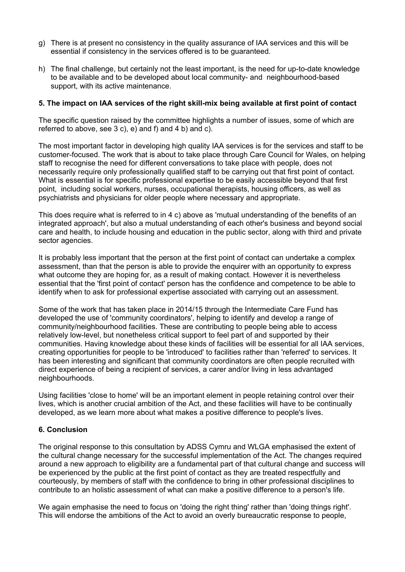- g) There is at present no consistency in the quality assurance of IAA services and this will be essential if consistency in the services offered is to be guaranteed.
- h) The final challenge, but certainly not the least important, is the need for up-to-date knowledge to be available and to be developed about local community- and neighbourhood-based support, with its active maintenance.

#### **5. The impact on IAA services of the right skill-mix being available at first point of contact**

The specific question raised by the committee highlights a number of issues, some of which are referred to above, see  $3 c$ , e) and  $f$ ) and  $4 b$ ) and  $c$ ).

The most important factor in developing high quality IAA services is for the services and staff to be customer-focused. The work that is about to take place through Care Council for Wales, on helping staff to recognise the need for different conversations to take place with people, does not necessarily require only professionally qualified staff to be carrying out that first point of contact. What is essential is for specific professional expertise to be easily accessible beyond that first point, including social workers, nurses, occupational therapists, housing officers, as well as psychiatrists and physicians for older people where necessary and appropriate.

This does require what is referred to in 4 c) above as 'mutual understanding of the benefits of an integrated approach', but also a mutual understanding of each other's business and beyond social care and health, to include housing and education in the public sector, along with third and private sector agencies.

It is probably less important that the person at the first point of contact can undertake a complex assessment, than that the person is able to provide the enquirer with an opportunity to express what outcome they are hoping for, as a result of making contact. However it is nevertheless essential that the 'first point of contact' person has the confidence and competence to be able to identify when to ask for professional expertise associated with carrying out an assessment.

Some of the work that has taken place in 2014/15 through the Intermediate Care Fund has developed the use of 'community coordinators', helping to identify and develop a range of community/neighbourhood facilities. These are contributing to people being able to access relatively low-level, but nonetheless critical support to feel part of and supported by their communities. Having knowledge about these kinds of facilities will be essential for all IAA services, creating opportunities for people to be 'introduced' to facilities rather than 'referred' to services. It has been interesting and significant that community coordinators are often people recruited with direct experience of being a recipient of services, a carer and/or living in less advantaged neighbourhoods.

Using facilities 'close to home' will be an important element in people retaining control over their lives, which is another crucial ambition of the Act, and these facilities will have to be continually developed, as we learn more about what makes a positive difference to people's lives.

### **6. Conclusion**

The original response to this consultation by ADSS Cymru and WLGA emphasised the extent of the cultural change necessary for the successful implementation of the Act. The changes required around a new approach to eligibility are a fundamental part of that cultural change and success will be experienced by the public at the first point of contact as they are treated respectfully and courteously, by members of staff with the confidence to bring in other professional disciplines to contribute to an holistic assessment of what can make a positive difference to a person's life.

We again emphasise the need to focus on 'doing the right thing' rather than 'doing things right'. This will endorse the ambitions of the Act to avoid an overly bureaucratic response to people,